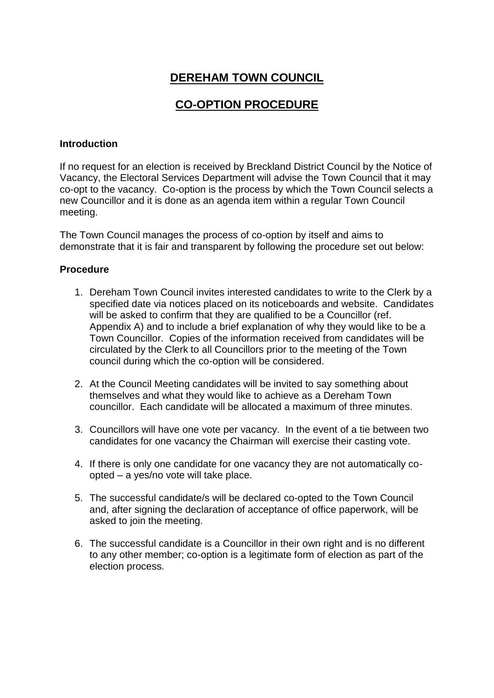# **DEREHAM TOWN COUNCIL**

# **CO-OPTION PROCEDURE**

#### **Introduction**

If no request for an election is received by Breckland District Council by the Notice of Vacancy, the Electoral Services Department will advise the Town Council that it may co-opt to the vacancy. Co-option is the process by which the Town Council selects a new Councillor and it is done as an agenda item within a regular Town Council meeting.

The Town Council manages the process of co-option by itself and aims to demonstrate that it is fair and transparent by following the procedure set out below:

### **Procedure**

- 1. Dereham Town Council invites interested candidates to write to the Clerk by a specified date via notices placed on its noticeboards and website. Candidates will be asked to confirm that they are qualified to be a Councillor (ref. Appendix A) and to include a brief explanation of why they would like to be a Town Councillor. Copies of the information received from candidates will be circulated by the Clerk to all Councillors prior to the meeting of the Town council during which the co-option will be considered.
- 2. At the Council Meeting candidates will be invited to say something about themselves and what they would like to achieve as a Dereham Town councillor. Each candidate will be allocated a maximum of three minutes.
- 3. Councillors will have one vote per vacancy. In the event of a tie between two candidates for one vacancy the Chairman will exercise their casting vote.
- 4. If there is only one candidate for one vacancy they are not automatically coopted – a yes/no vote will take place.
- 5. The successful candidate/s will be declared co-opted to the Town Council and, after signing the declaration of acceptance of office paperwork, will be asked to join the meeting.
- 6. The successful candidate is a Councillor in their own right and is no different to any other member; co-option is a legitimate form of election as part of the election process.